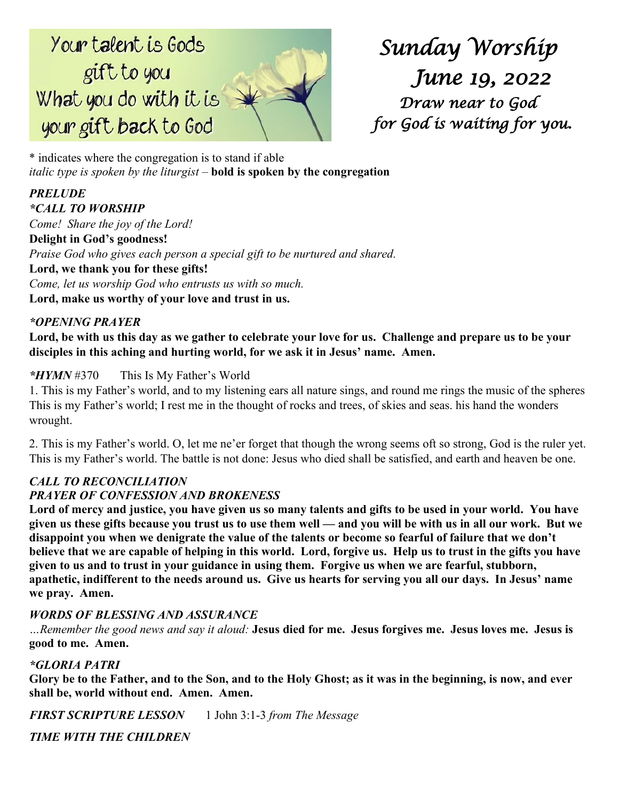# Your talent is Gods gift to you What you do with it is your gift back to God

*Sunday Worship June 19, 2022 Draw near to God for God is waiting for you.* 

\* indicates where the congregation is to stand if able *italic type is spoken by the liturgist –* **bold is spoken by the congregation**

## *PRELUDE \*CALL TO WORSHIP Come! Share the joy of the Lord!* **Delight in God's goodness!** *Praise God who gives each person a special gift to be nurtured and shared.* **Lord, we thank you for these gifts!** *Come, let us worship God who entrusts us with so much.* **Lord, make us worthy of your love and trust in us.**

# *\*OPENING PRAYER*

**Lord, be with us this day as we gather to celebrate your love for us. Challenge and prepare us to be your disciples in this aching and hurting world, for we ask it in Jesus' name. Amen.**

# *\*HYMN* #370 This Is My Father's World

1. This is my Father's world, and to my listening ears all nature sings, and round me rings the music of the spheres This is my Father's world; I rest me in the thought of rocks and trees, of skies and seas. his hand the wonders wrought.

2. This is my Father's world. O, let me ne'er forget that though the wrong seems oft so strong, God is the ruler yet. This is my Father's world. The battle is not done: Jesus who died shall be satisfied, and earth and heaven be one.

# *CALL TO RECONCILIATION*

## *PRAYER OF CONFESSION AND BROKENESS*

**Lord of mercy and justice, you have given us so many talents and gifts to be used in your world. You have given us these gifts because you trust us to use them well — and you will be with us in all our work. But we disappoint you when we denigrate the value of the talents or become so fearful of failure that we don't believe that we are capable of helping in this world. Lord, forgive us. Help us to trust in the gifts you have given to us and to trust in your guidance in using them. Forgive us when we are fearful, stubborn, apathetic, indifferent to the needs around us. Give us hearts for serving you all our days. In Jesus' name we pray. Amen.**

## *WORDS OF BLESSING AND ASSURANCE*

*…Remember the good news and say it aloud:* **Jesus died for me. Jesus forgives me. Jesus loves me. Jesus is good to me. Amen.**

## *\*GLORIA PATRI*

**Glory be to the Father, and to the Son, and to the Holy Ghost; as it was in the beginning, is now, and ever shall be, world without end. Amen. Amen.**

*FIRST SCRIPTURE LESSON* 1 John 3:1-3 *from The Message*

*TIME WITH THE CHILDREN*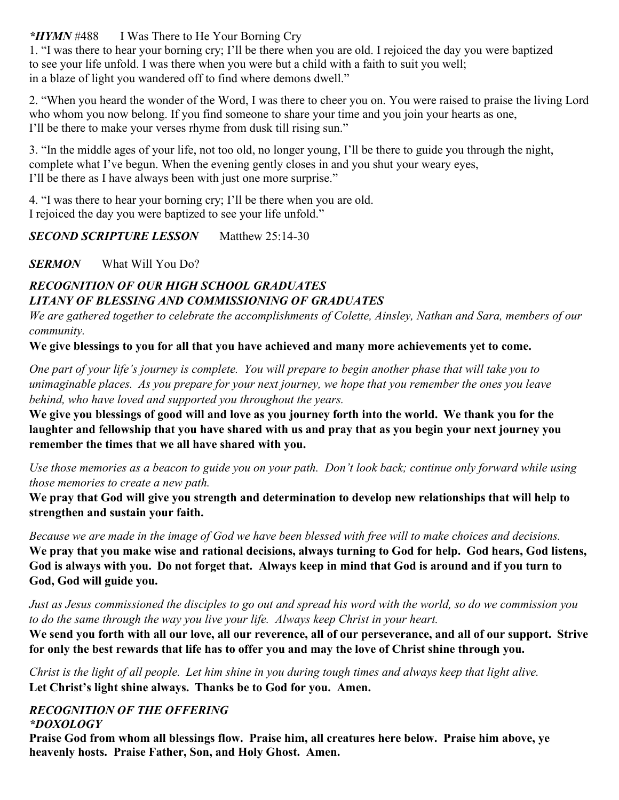*\*HYMN* #488 I Was There to He Your Borning Cry

1. "I was there to hear your borning cry; I'll be there when you are old. I rejoiced the day you were baptized to see your life unfold. I was there when you were but a child with a faith to suit you well; in a blaze of light you wandered off to find where demons dwell."

2. "When you heard the wonder of the Word, I was there to cheer you on. You were raised to praise the living Lord who whom you now belong. If you find someone to share your time and you join your hearts as one, I'll be there to make your verses rhyme from dusk till rising sun."

3. "In the middle ages of your life, not too old, no longer young, I'll be there to guide you through the night, complete what I've begun. When the evening gently closes in and you shut your weary eyes, I'll be there as I have always been with just one more surprise."

4. "I was there to hear your borning cry; I'll be there when you are old. I rejoiced the day you were baptized to see your life unfold."

*SECOND SCRIPTURE LESSON* Matthew 25:14-30

*SERMON* What Will You Do?

# *RECOGNITION OF OUR HIGH SCHOOL GRADUATES LITANY OF BLESSING AND COMMISSIONING OF GRADUATES*

*We are gathered together to celebrate the accomplishments of Colette, Ainsley, Nathan and Sara, members of our community.*

**We give blessings to you for all that you have achieved and many more achievements yet to come.**

*One part of your life's journey is complete. You will prepare to begin another phase that will take you to unimaginable places. As you prepare for your next journey, we hope that you remember the ones you leave behind, who have loved and supported you throughout the years.*

**We give you blessings of good will and love as you journey forth into the world. We thank you for the laughter and fellowship that you have shared with us and pray that as you begin your next journey you remember the times that we all have shared with you.**

*Use those memories as a beacon to guide you on your path. Don't look back; continue only forward while using those memories to create a new path.*

**We pray that God will give you strength and determination to develop new relationships that will help to strengthen and sustain your faith.**

*Because we are made in the image of God we have been blessed with free will to make choices and decisions.* **We pray that you make wise and rational decisions, always turning to God for help. God hears, God listens, God is always with you. Do not forget that. Always keep in mind that God is around and if you turn to God, God will guide you.**

*Just as Jesus commissioned the disciples to go out and spread his word with the world, so do we commission you to do the same through the way you live your life. Always keep Christ in your heart.*

**We send you forth with all our love, all our reverence, all of our perseverance, and all of our support. Strive for only the best rewards that life has to offer you and may the love of Christ shine through you.**

*Christ is the light of all people. Let him shine in you during tough times and always keep that light alive.* **Let Christ's light shine always. Thanks be to God for you. Amen.**

## *RECOGNITION OF THE OFFERING \*DOXOLOGY*

**Praise God from whom all blessings flow. Praise him, all creatures here below. Praise him above, ye heavenly hosts. Praise Father, Son, and Holy Ghost. Amen.**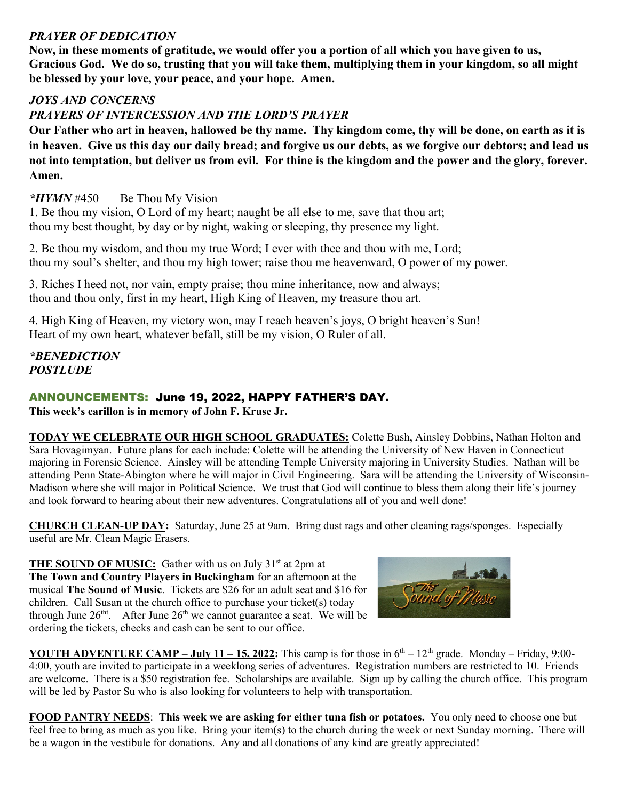## *PRAYER OF DEDICATION*

**Now, in these moments of gratitude, we would offer you a portion of all which you have given to us, Gracious God. We do so, trusting that you will take them, multiplying them in your kingdom, so all might be blessed by your love, your peace, and your hope. Amen.**

# *JOYS AND CONCERNS*

# *PRAYERS OF INTERCESSION AND THE LORD'S PRAYER*

**Our Father who art in heaven, hallowed be thy name. Thy kingdom come, thy will be done, on earth as it is in heaven. Give us this day our daily bread; and forgive us our debts, as we forgive our debtors; and lead us not into temptation, but deliver us from evil. For thine is the kingdom and the power and the glory, forever. Amen.**

## *\*HYMN* #450 Be Thou My Vision

1. Be thou my vision, O Lord of my heart; naught be all else to me, save that thou art; thou my best thought, by day or by night, waking or sleeping, thy presence my light.

2. Be thou my wisdom, and thou my true Word; I ever with thee and thou with me, Lord; thou my soul's shelter, and thou my high tower; raise thou me heavenward, O power of my power.

3. Riches I heed not, nor vain, empty praise; thou mine inheritance, now and always; thou and thou only, first in my heart, High King of Heaven, my treasure thou art.

4. High King of Heaven, my victory won, may I reach heaven's joys, O bright heaven's Sun! Heart of my own heart, whatever befall, still be my vision, O Ruler of all.

*\*BENEDICTION POSTLUDE*

# ANNOUNCEMENTS: June 19, 2022, HAPPY FATHER'S DAY.

**This week's carillon is in memory of John F. Kruse Jr.** 

**TODAY WE CELEBRATE OUR HIGH SCHOOL GRADUATES:** Colette Bush, Ainsley Dobbins, Nathan Holton and Sara Hovagimyan. Future plans for each include: Colette will be attending the University of New Haven in Connecticut majoring in Forensic Science. Ainsley will be attending Temple University majoring in University Studies. Nathan will be attending Penn State-Abington where he will major in Civil Engineering. Sara will be attending the University of Wisconsin-Madison where she will major in Political Science. We trust that God will continue to bless them along their life's journey and look forward to hearing about their new adventures. Congratulations all of you and well done!

**CHURCH CLEAN-UP DAY:** Saturday, June 25 at 9am. Bring dust rags and other cleaning rags/sponges. Especially useful are Mr. Clean Magic Erasers.

**THE SOUND OF MUSIC:** Gather with us on July 31<sup>st</sup> at 2pm at **The Town and Country Players in Buckingham** for an afternoon at the musical **The Sound of Music**. Tickets are \$26 for an adult seat and \$16 for children. Call Susan at the church office to purchase your ticket(s) today through June  $26<sup>th</sup>$ . After June  $26<sup>th</sup>$  we cannot guarantee a seat. We will be ordering the tickets, checks and cash can be sent to our office.



**YOUTH ADVENTURE CAMP – <b>July 11 – 15, 2022:** This camp is for those in  $6<sup>th</sup> - 12<sup>th</sup>$  grade. Monday – Friday, 9:00-4:00, youth are invited to participate in a weeklong series of adventures. Registration numbers are restricted to 10. Friends are welcome. There is a \$50 registration fee. Scholarships are available. Sign up by calling the church office. This program will be led by Pastor Su who is also looking for volunteers to help with transportation.

**FOOD PANTRY NEEDS**: **This week we are asking for either tuna fish or potatoes.** You only need to choose one but feel free to bring as much as you like. Bring your item(s) to the church during the week or next Sunday morning. There will be a wagon in the vestibule for donations. Any and all donations of any kind are greatly appreciated!